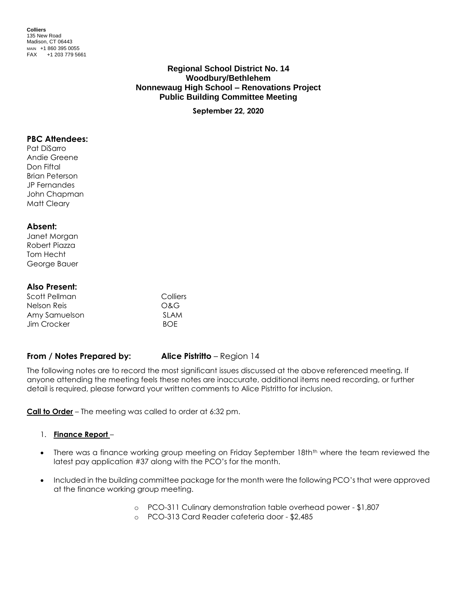**Colliers** 135 New Road Madison, CT 06443 MAIN +1 860 395 0055 FAX +1 203 779 5661

# **Regional School District No. 14 Woodbury/Bethlehem Nonnewaug High School – Renovations Project Public Building Committee Meeting**

**September 22, 2020**

#### **PBC Attendees:**

Pat DiSarro Andie Greene Don Fiftal Brian Peterson JP Fernandes John Chapman Matt Cleary

## **Absent:**

Janet Morgan Robert Piazza Tom Hecht George Bauer

# **Also Present:**

| Colliers    |
|-------------|
| O&G         |
| <b>SLAM</b> |
| <b>BOF</b>  |
|             |

# **From / Notes Prepared by: Alice Pistritto** – Region 14

The following notes are to record the most significant issues discussed at the above referenced meeting. If anyone attending the meeting feels these notes are inaccurate, additional items need recording, or further detail is required, please forward your written comments to Alice Pistritto for inclusion.

**Call to Order** – The meeting was called to order at 6:32 pm.

## 1. **Finance Report** –

- There was a finance working group meeting on Friday September 18th<sup>th</sup> where the team reviewed the latest pay application #37 along with the PCO's for the month.
- Included in the building committee package for the month were the following PCO's that were approved at the finance working group meeting.
	- o PCO-311 Culinary demonstration table overhead power \$1,807
	- o PCO-313 Card Reader cafeteria door \$2,485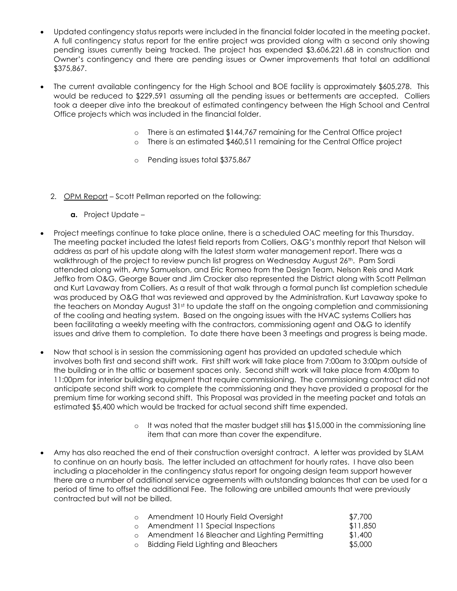- Updated contingency status reports were included in the financial folder located in the meeting packet. A full contingency status report for the entire project was provided along with a second only showing pending issues currently being tracked. The project has expended \$3,606,221.68 in construction and Owner's contingency and there are pending issues or Owner improvements that total an additional \$375,867.
- The current available contingency for the High School and BOE facility is approximately \$605,278. This would be reduced to \$229,591 assuming all the pending issues or betterments are accepted. Colliers took a deeper dive into the breakout of estimated contingency between the High School and Central Office projects which was included in the financial folder.
	- o There is an estimated \$144,767 remaining for the Central Office project
	- o There is an estimated \$460,511 remaining for the Central Office project
	- o Pending issues total \$375,867
	- 2. OPM Report Scott Pellman reported on the following:
		- **a.** Project Update –
- Project meetings continue to take place online, there is a scheduled OAC meeting for this Thursday. The meeting packet included the latest field reports from Colliers, O&G's monthly report that Nelson will address as part of his update along with the latest storm water management report. There was a walkthrough of the project to review punch list progress on Wednesday August 26<sup>th</sup>. Pam Sordi attended along with, Amy Samuelson, and Eric Romeo from the Design Team, Nelson Reis and Mark Jeffko from O&G, George Bauer and Jim Crocker also represented the District along with Scott Pellman and Kurt Lavaway from Colliers. As a result of that walk through a formal punch list completion schedule was produced by O&G that was reviewed and approved by the Administration. Kurt Lavaway spoke to the teachers on Monday August 31st to update the staff on the ongoing completion and commissioning of the cooling and heating system. Based on the ongoing issues with the HVAC systems Colliers has been facilitating a weekly meeting with the contractors, commissioning agent and O&G to identify issues and drive them to completion. To date there have been 3 meetings and progress is being made.
- Now that school is in session the commissioning agent has provided an updated schedule which involves both first and second shift work. First shift work will take place from 7:00am to 3:00pm outside of the building or in the attic or basement spaces only. Second shift work will take place from 4:00pm to 11:00pm for interior building equipment that require commissioning. The commissioning contract did not anticipate second shift work to complete the commissioning and they have provided a proposal for the premium time for working second shift. This Proposal was provided in the meeting packet and totals an estimated \$5,400 which would be tracked for actual second shift time expended.
	- o It was noted that the master budget still has \$15,000 in the commissioning line item that can more than cover the expenditure.
- Amy has also reached the end of their construction oversight contract. A letter was provided by SLAM to continue on an hourly basis. The letter included an attachment for hourly rates. I have also been including a placeholder in the contingency status report for ongoing design team support however there are a number of additional service agreements with outstanding balances that can be used for a period of time to offset the additional Fee. The following are unbilled amounts that were previously contracted but will not be billed.
	- o Amendment 10 Hourly Field Oversight \$7,700 o Amendment 11 Special Inspections \$11,850
	- o Amendment 16 Bleacher and Lighting Permitting \$1,400
	- o Bidding Field Lighting and Bleachers \$5,000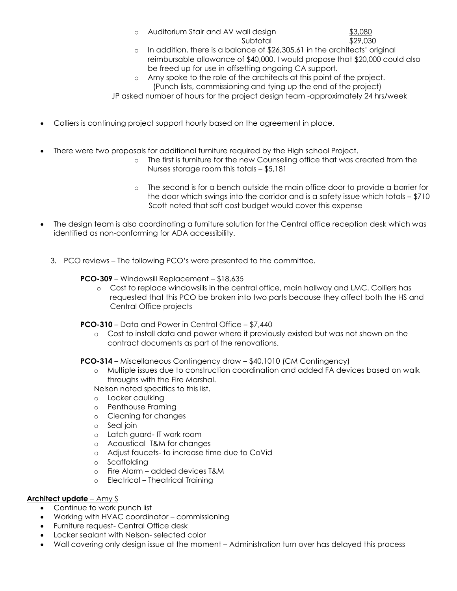| $\circ$ | Auditorium Stair and AV wall design | \$3,080 |
|---------|-------------------------------------|---------|
|         | Subtotal                            | \$29,03 |

- $$29,030$
- o In addition, there is a balance of \$26,305.61 in the architects' original reimbursable allowance of \$40,000, I would propose that \$20,000 could also be freed up for use in offsetting ongoing CA support.
- o Amy spoke to the role of the architects at this point of the project. (Punch lists, commissioning and tying up the end of the project)

JP asked number of hours for the project design team -approximately 24 hrs/week

- Colliers is continuing project support hourly based on the agreement in place.
- There were two proposals for additional furniture required by the High school Project.
	- o The first is furniture for the new Counseling office that was created from the Nurses storage room this totals – \$5,181
	- o The second is for a bench outside the main office door to provide a barrier for the door which swings into the corridor and is a safety issue which totals – \$710 Scott noted that soft cost budget would cover this expense
- The design team is also coordinating a furniture solution for the Central office reception desk which was identified as non-conforming for ADA accessibility.
	- 3. PCO reviews The following PCO's were presented to the committee.

# **PCO-309** – Windowsill Replacement – \$18,635

- o Cost to replace windowsills in the central office, main hallway and LMC. Colliers has requested that this PCO be broken into two parts because they affect both the HS and Central Office projects
- **PCO-310**  Data and Power in Central Office \$7,440
	- o Cost to install data and power where it previously existed but was not shown on the contract documents as part of the renovations.
- **PCO-314**  Miscellaneous Contingency draw \$40,1010 (CM Contingency)
	- o Multiple issues due to construction coordination and added FA devices based on walk throughs with the Fire Marshal.
	- Nelson noted specifics to this list.
	- o Locker caulking
	- o Penthouse Framing
	- o Cleaning for changes
	- o Seal join
	- o Latch guard- IT work room
	- o Acoustical T&M for changes
	- o Adjust faucets- to increase time due to CoVid
	- o Scaffolding
	- o Fire Alarm added devices T&M
	- o Electrical Theatrical Training

# **Architect update** – Amy S

- Continue to work punch list
- Working with HVAC coordinator commissioning
- Furniture request- Central Office desk
- Locker sealant with Nelson- selected color
- Wall covering only design issue at the moment Administration turn over has delayed this process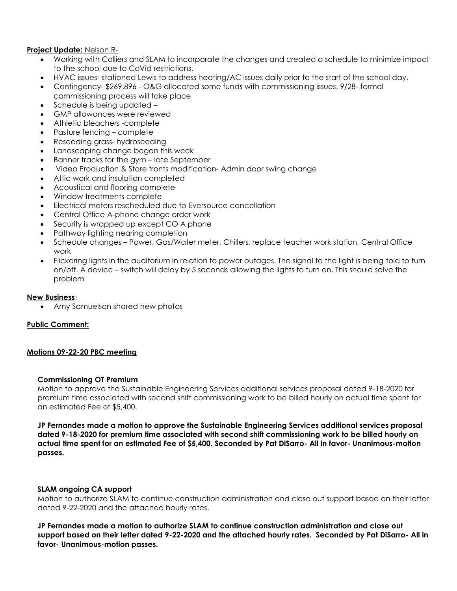# **Project Update:** Nelson R-

- Working with Colliers and SLAM to incorporate the changes and created a schedule to minimize impact to the school due to CoVid restrictions.
- HVAC issues- stationed Lewis to address heating/AC issues daily prior to the start of the school day.
- Contingency- \$269,896 O&G allocated some funds with commissioning issues. 9/28- formal commissioning process will take place
- Schedule is being updated –
- GMP allowances were reviewed
- Athletic bleachers -complete
- Pasture fencing complete
- Reseeding grass- hydroseeding
- Landscaping change began this week
- Banner tracks for the gym late September
- Video Production & Store fronts modification- Admin door swing change
- Attic work and insulation completed
- Acoustical and flooring complete
- Window treatments complete
- Electrical meters rescheduled due to Eversource cancellation
- Central Office A-phone change order work
- Security is wrapped up except CO A phone
- Pathway lighting nearing completion
- Schedule changes Power, Gas/Water meter, Chillers, replace teacher work station, Central Office work
- Flickering lights in the auditorium in relation to power outages. The signal to the light is being told to turn on/off. A device – switch will delay by 5 seconds allowing the lights to turn on. This should solve the problem

## **New Business**:

Amy Samuelson shared new photos

## **Public Comment:**

## **Motions 09-22-20 PBC meeting**

## **Commissioning OT Premium**

Motion to approve the Sustainable Engineering Services additional services proposal dated 9-18-2020 for premium time associated with second shift commissioning work to be billed hourly on actual time spent for an estimated Fee of \$5,400.

**JP Fernandes made a motion to approve the Sustainable Engineering Services additional services proposal dated 9-18-2020 for premium time associated with second shift commissioning work to be billed hourly on actual time spent for an estimated Fee of \$5,400. Seconded by Pat DiSarro- All in favor- Unanimous-motion passes.**

## **SLAM ongoing CA support**

Motion to authorize SLAM to continue construction administration and close out support based on their letter dated 9-22-2020 and the attached hourly rates.

**JP Fernandes made a motion to authorize SLAM to continue construction administration and close out support based on their letter dated 9-22-2020 and the attached hourly rates. Seconded by Pat DiSarro- All in favor- Unanimous-motion passes.**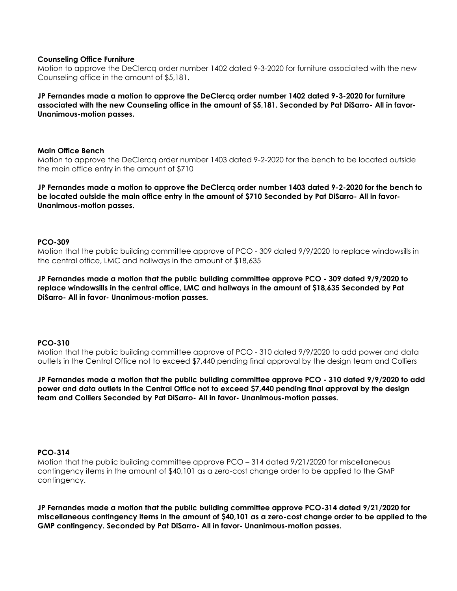#### **Counseling Office Furniture**

Motion to approve the DeClercq order number 1402 dated 9-3-2020 for furniture associated with the new Counseling office in the amount of \$5,181.

**JP Fernandes made a motion to approve the DeClercq order number 1402 dated 9-3-2020 for furniture associated with the new Counseling office in the amount of \$5,181. Seconded by Pat DiSarro- All in favor-Unanimous-motion passes.**

#### **Main Office Bench**

Motion to approve the DeClercq order number 1403 dated 9-2-2020 for the bench to be located outside the main office entry in the amount of \$710

**JP Fernandes made a motion to approve the DeClercq order number 1403 dated 9-2-2020 for the bench to be located outside the main office entry in the amount of \$710 Seconded by Pat DiSarro- All in favor-Unanimous-motion passes.**

#### **PCO-309**

Motion that the public building committee approve of PCO - 309 dated 9/9/2020 to replace windowsills in the central office, LMC and hallways in the amount of \$18,635

**JP Fernandes made a motion that the public building committee approve PCO - 309 dated 9/9/2020 to replace windowsills in the central office, LMC and hallways in the amount of \$18,635 Seconded by Pat DiSarro- All in favor- Unanimous-motion passes.**

#### **PCO-310**

Motion that the public building committee approve of PCO - 310 dated 9/9/2020 to add power and data outlets in the Central Office not to exceed \$7,440 pending final approval by the design team and Colliers

**JP Fernandes made a motion that the public building committee approve PCO - 310 dated 9/9/2020 to add power and data outlets in the Central Office not to exceed \$7,440 pending final approval by the design team and Colliers Seconded by Pat DiSarro- All in favor- Unanimous-motion passes.**

#### **PCO-314**

Motion that the public building committee approve PCO – 314 dated 9/21/2020 for miscellaneous contingency items in the amount of \$40,101 as a zero-cost change order to be applied to the GMP contingency.

**JP Fernandes made a motion that the public building committee approve PCO-314 dated 9/21/2020 for miscellaneous contingency items in the amount of \$40,101 as a zero-cost change order to be applied to the GMP contingency. Seconded by Pat DiSarro- All in favor- Unanimous-motion passes.**